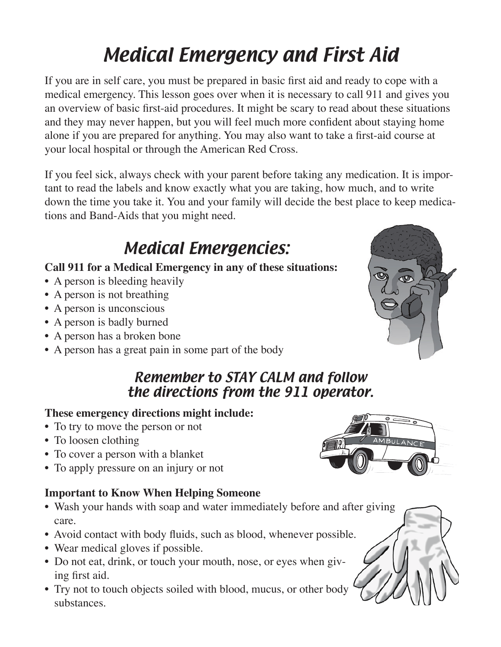# Medical Emergency and First Aid

If you are in self care, you must be prepared in basic first aid and ready to cope with a medical emergency. This lesson goes over when it is necessary to call 911 and gives you an overview of basic first-aid procedures. It might be scary to read about these situations and they may never happen, but you will feel much more confident about staying home alone if you are prepared for anything. You may also want to take a first-aid course at your local hospital or through the American Red Cross.

If you feel sick, always check with your parent before taking any medication. It is important to read the labels and know exactly what you are taking, how much, and to write down the time you take it. You and your family will decide the best place to keep medications and Band-Aids that you might need.

## Medical Emergencies:

#### **Call 911 for a Medical Emergency in any of these situations:**

- A person is bleeding heavily
- A person is not breathing
- A person is unconscious
- A person is badly burned
- A person has a broken bone
- A person has a great pain in some part of the body

#### Remember to STAY CALM and follow the directions from the 911 operator.

#### **These emergency directions might include:**

- To try to move the person or not
- To loosen clothing
- To cover a person with a blanket
- To apply pressure on an injury or not

#### **Important to Know When Helping Someone**

- Wash your hands with soap and water immediately before and after giving care.
- Avoid contact with body fluids, such as blood, whenever possible.
- Wear medical gloves if possible.
- Do not eat, drink, or touch your mouth, nose, or eyes when giving first aid.
- Try not to touch objects soiled with blood, mucus, or other body substances.



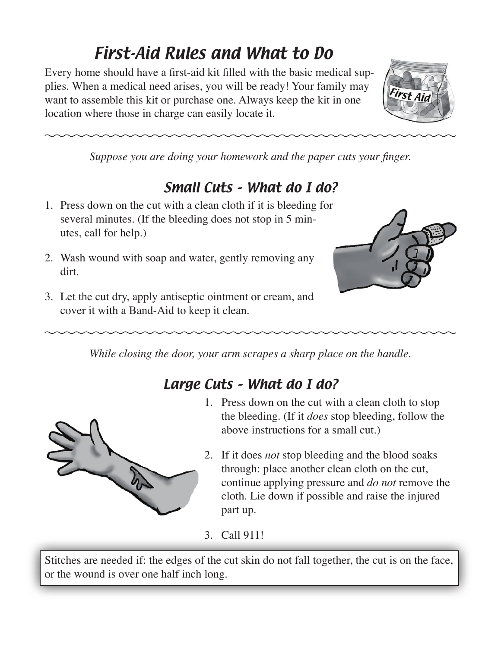## First-Aid Rules and What to Do

Every home should have a first-aid kit filled with the basic medical supplies. When a medical need arises, you will be ready! Your family may want to assemble this kit or purchase one. Always keep the kit in one location where those in charge can easily locate it.



*Suppose you are doing your homework and the paper cuts your finger.*

### Small Cuts – What do I do?

- 1. Press down on the cut with a clean cloth if it is bleeding for several minutes. (If the bleeding does not stop in 5 minutes, call for help.)
- 2. Wash wound with soap and water, gently removing any dirt.



3. Let the cut dry, apply antiseptic ointment or cream, and cover it with a Band-Aid to keep it clean.

*While closing the door, your arm scrapes a sharp place on the handle.*

### Large Cuts – What do I do?



- 1. Press down on the cut with a clean cloth to stop the bleeding. (If it *does* stop bleeding, follow the above instructions for a small cut.)
- 2. If it does *not* stop bleeding and the blood soaks through: place another clean cloth on the cut, continue applying pressure and *do not* remove the cloth. Lie down if possible and raise the injured part up.

3. Call 911!

Stitches are needed if: the edges of the cut skin do not fall together, the cut is on the face, or the wound is over one half inch long.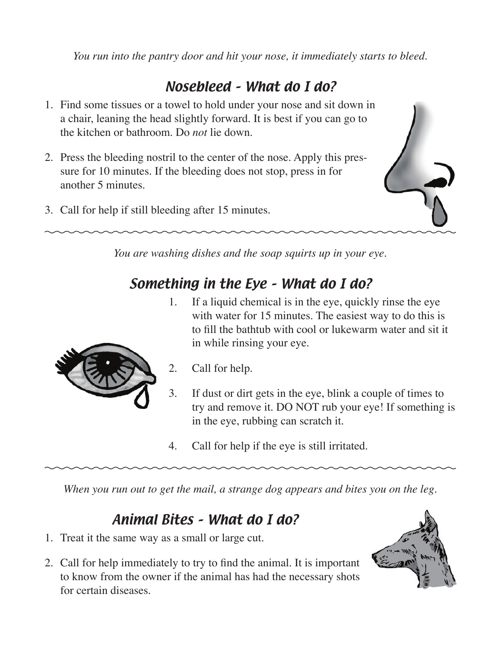*You run into the pantry door and hit your nose, it immediately starts to bleed.*

#### Nosebleed – What do I do?

- 1. Find some tissues or a towel to hold under your nose and sit down in a chair, leaning the head slightly forward. It is best if you can go to the kitchen or bathroom. Do *not* lie down.
- 2. Press the bleeding nostril to the center of the nose. Apply this pressure for 10 minutes. If the bleeding does not stop, press in for another 5 minutes.
- 3. Call for help if still bleeding after 15 minutes.



*You are washing dishes and the soap squirts up in your eye.* 

#### Something in the Eye – What do I do?

1. If a liquid chemical is in the eye, quickly rinse the eye with water for 15 minutes. The easiest way to do this is to fill the bathtub with cool or lukewarm water and sit it in while rinsing your eye.



- 2. Call for help.
- 3. If dust or dirt gets in the eye, blink a couple of times to try and remove it. DO NOT rub your eye! If something is in the eye, rubbing can scratch it.
- 4. Call for help if the eye is still irritated.

*When you run out to get the mail, a strange dog appears and bites you on the leg.*

#### Animal Bites – What do I do?

- 1. Treat it the same way as a small or large cut.
- 2. Call for help immediately to try to find the animal. It is important to know from the owner if the animal has had the necessary shots for certain diseases.

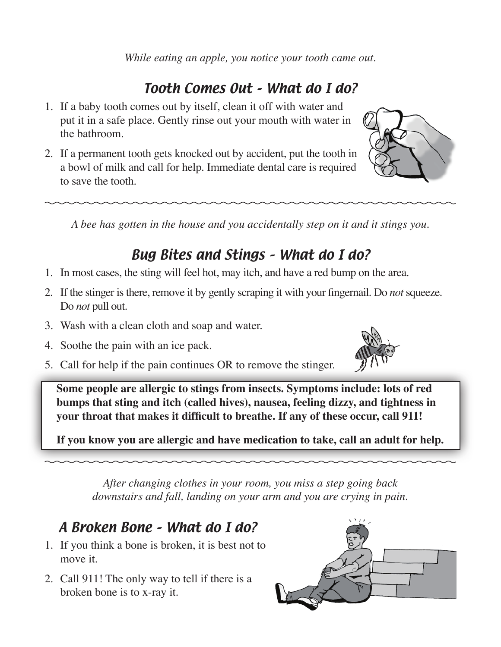*While eating an apple, you notice your tooth came out.*

## Tooth Comes Out – What do I do?

- 1. If a baby tooth comes out by itself, clean it off with water and put it in a safe place. Gently rinse out your mouth with water in the bathroom.
- 2. If a permanent tooth gets knocked out by accident, put the tooth in a bowl of milk and call for help. Immediate dental care is required to save the tooth.

*A bee has gotten in the house and you accidentally step on it and it stings you.*

## Bug Bites and Stings – What do I do?

- 1. In most cases, the sting will feel hot, may itch, and have a red bump on the area.
- 2. If the stinger is there, remove it by gently scraping it with your fingernail. Do *not* squeeze. Do *not* pull out.
- 3. Wash with a clean cloth and soap and water.
- 4. Soothe the pain with an ice pack.
- 5. Call for help if the pain continues OR to remove the stinger.

**Some people are allergic to stings from insects. Symptoms include: lots of red bumps that sting and itch (called hives), nausea, feeling dizzy, and tightness in your throat that makes it difficult to breathe. If any of these occur, call 911!**

**If you know you are allergic and have medication to take, call an adult for help.**

*After changing clothes in your room, you miss a step going back downstairs and fall, landing on your arm and you are crying in pain.*

### A Broken Bone – What do I do?

- 1. If you think a bone is broken, it is best not to move it.
- 2. Call 911! The only way to tell if there is a broken bone is to x-ray it.





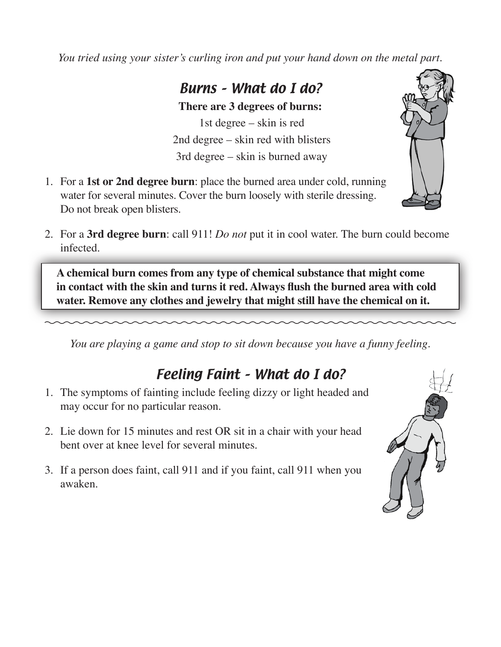*You tried using your sister's curling iron and put your hand down on the metal part.*

#### Burns – What do I do?

**There are 3 degrees of burns:** 1st degree – skin is red 2nd degree – skin red with blisters 3rd degree – skin is burned away

- 1. For a **1st or 2nd degree burn**: place the burned area under cold, running water for several minutes. Cover the burn loosely with sterile dressing. Do not break open blisters.
- 2. For a **3rd degree burn**: call 911! *Do not* put it in cool water. The burn could become infected.

**A chemical burn comes from any type of chemical substance that might come in contact with the skin and turns it red. Always flush the burned area with cold water. Remove any clothes and jewelry that might still have the chemical on it.**

*You are playing a game and stop to sit down because you have a funny feeling.*

### Feeling Faint – What do I do?

- 1. The symptoms of fainting include feeling dizzy or light headed and may occur for no particular reason.
- 2. Lie down for 15 minutes and rest OR sit in a chair with your head bent over at knee level for several minutes.
- 3. If a person does faint, call 911 and if you faint, call 911 when you awaken.



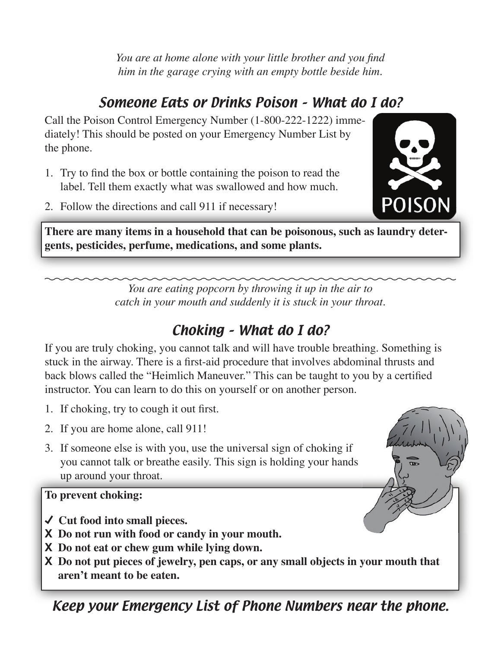*You are at home alone with your little brother and you find him in the garage crying with an empty bottle beside him.* 

## Someone Eats or Drinks Poison – What do I do?

Call the Poison Control Emergency Number (1-800-222-1222) immediately! This should be posted on your Emergency Number List by the phone.

- 1. Try to find the box or bottle containing the poison to read the label. Tell them exactly what was swallowed and how much.
- 2. Follow the directions and call 911 if necessary!

**There are many items in a household that can be poisonous, such as laundry detergents, pesticides, perfume, medications, and some plants.**

> *You are eating popcorn by throwing it up in the air to catch in your mouth and suddenly it is stuck in your throat.*

## Choking – What do I do?

If you are truly choking, you cannot talk and will have trouble breathing. Something is stuck in the airway. There is a first-aid procedure that involves abdominal thrusts and back blows called the "Heimlich Maneuver." This can be taught to you by a certified instructor. You can learn to do this on yourself or on another person.

- 1. If choking, try to cough it out first.
- 2. If you are home alone, call 911!
- 3. If someone else is with you, use the universal sign of choking if you cannot talk or breathe easily. This sign is holding your hands up around your throat*.*

#### **To prevent choking:**

- **Cut food into small pieces.**
- **X Do not run with food or candy in your mouth.**
- **X Do not eat or chew gum while lying down.**
- **X Do not put pieces of jewelry, pen caps, or any small objects in your mouth that aren't meant to be eaten.**

Keep your Emergency List of Phone Numbers near the phone.